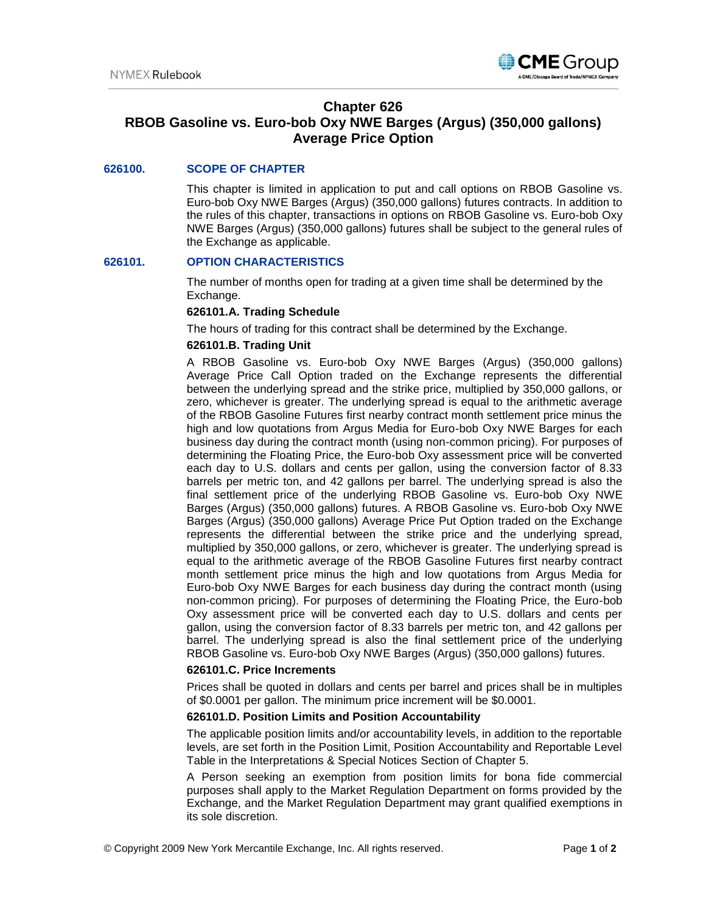

# **Chapter 626**

# **RBOB Gasoline vs. Euro-bob Oxy NWE Barges (Argus) (350,000 gallons) Average Price Option**

# **626100. SCOPE OF CHAPTER**

This chapter is limited in application to put and call options on RBOB Gasoline vs. Euro-bob Oxy NWE Barges (Argus) (350,000 gallons) futures contracts. In addition to the rules of this chapter, transactions in options on RBOB Gasoline vs. Euro-bob Oxy NWE Barges (Argus) (350,000 gallons) futures shall be subject to the general rules of the Exchange as applicable.

# **626101. OPTION CHARACTERISTICS**

The number of months open for trading at a given time shall be determined by the Exchange.

# **626101.A. Trading Schedule**

The hours of trading for this contract shall be determined by the Exchange.

# **626101.B. Trading Unit**

A RBOB Gasoline vs. Euro-bob Oxy NWE Barges (Argus) (350,000 gallons) Average Price Call Option traded on the Exchange represents the differential between the underlying spread and the strike price, multiplied by 350,000 gallons, or zero, whichever is greater. The underlying spread is equal to the arithmetic average of the RBOB Gasoline Futures first nearby contract month settlement price minus the high and low quotations from Argus Media for Euro-bob Oxy NWE Barges for each business day during the contract month (using non-common pricing). For purposes of determining the Floating Price, the Euro-bob Oxy assessment price will be converted each day to U.S. dollars and cents per gallon, using the conversion factor of 8.33 barrels per metric ton, and 42 gallons per barrel. The underlying spread is also the final settlement price of the underlying RBOB Gasoline vs. Euro-bob Oxy NWE Barges (Argus) (350,000 gallons) futures. A RBOB Gasoline vs. Euro-bob Oxy NWE Barges (Argus) (350,000 gallons) Average Price Put Option traded on the Exchange represents the differential between the strike price and the underlying spread, multiplied by 350,000 gallons, or zero, whichever is greater. The underlying spread is equal to the arithmetic average of the RBOB Gasoline Futures first nearby contract month settlement price minus the high and low quotations from Argus Media for Euro-bob Oxy NWE Barges for each business day during the contract month (using non-common pricing). For purposes of determining the Floating Price, the Euro-bob Oxy assessment price will be converted each day to U.S. dollars and cents per gallon, using the conversion factor of 8.33 barrels per metric ton, and 42 gallons per barrel. The underlying spread is also the final settlement price of the underlying RBOB Gasoline vs. Euro-bob Oxy NWE Barges (Argus) (350,000 gallons) futures.

#### **626101.C. Price Increments**

Prices shall be quoted in dollars and cents per barrel and prices shall be in multiples of \$0.0001 per gallon. The minimum price increment will be \$0.0001.

## **626101.D. Position Limits and Position Accountability**

The applicable position limits and/or accountability levels, in addition to the reportable levels, are set forth in the Position Limit, Position Accountability and Reportable Level Table in the Interpretations & Special Notices Section of Chapter 5.

A Person seeking an exemption from position limits for bona fide commercial purposes shall apply to the Market Regulation Department on forms provided by the Exchange, and the Market Regulation Department may grant qualified exemptions in its sole discretion.